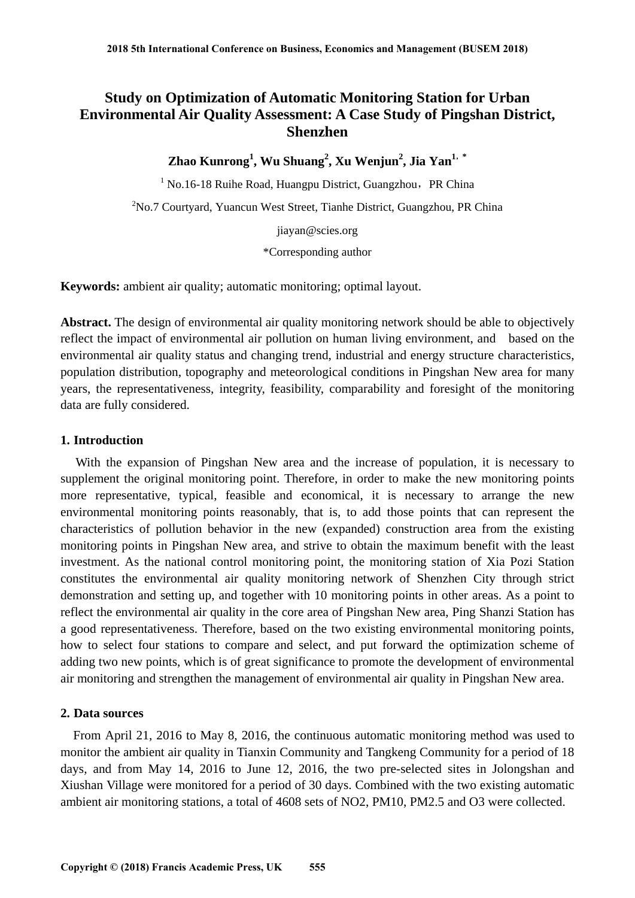# **Study on Optimization of Automatic Monitoring Station for Urban Environmental Air Quality Assessment: A Case Study of Pingshan District, Shenzhen**

**Zhao Kunrong1 , Wu Shuang2 , Xu Wenjun2 , Jia Yan1**,**\*** 

 $1$  No.16-18 Ruihe Road, Huangpu District, Guangzhou, PR China <sup>2</sup>No.7 Courtyard, Yuancun West Street, Tianhe District, Guangzhou, PR China

jiayan@scies.org

\*Corresponding author

**Keywords:** ambient air quality; automatic monitoring; optimal layout.

**Abstract.** The design of environmental air quality monitoring network should be able to objectively reflect the impact of environmental air pollution on human living environment, and based on the environmental air quality status and changing trend, industrial and energy structure characteristics, population distribution, topography and meteorological conditions in Pingshan New area for many years, the representativeness, integrity, feasibility, comparability and foresight of the monitoring data are fully considered.

### **1. Introduction**

With the expansion of Pingshan New area and the increase of population, it is necessary to supplement the original monitoring point. Therefore, in order to make the new monitoring points more representative, typical, feasible and economical, it is necessary to arrange the new environmental monitoring points reasonably, that is, to add those points that can represent the characteristics of pollution behavior in the new (expanded) construction area from the existing monitoring points in Pingshan New area, and strive to obtain the maximum benefit with the least investment. As the national control monitoring point, the monitoring station of Xia Pozi Station constitutes the environmental air quality monitoring network of Shenzhen City through strict demonstration and setting up, and together with 10 monitoring points in other areas. As a point to reflect the environmental air quality in the core area of Pingshan New area, Ping Shanzi Station has a good representativeness. Therefore, based on the two existing environmental monitoring points, how to select four stations to compare and select, and put forward the optimization scheme of adding two new points, which is of great significance to promote the development of environmental air monitoring and strengthen the management of environmental air quality in Pingshan New area.

## **2. Data sources**

From April 21, 2016 to May 8, 2016, the continuous automatic monitoring method was used to monitor the ambient air quality in Tianxin Community and Tangkeng Community for a period of 18 days, and from May 14, 2016 to June 12, 2016, the two pre-selected sites in Jolongshan and Xiushan Village were monitored for a period of 30 days. Combined with the two existing automatic ambient air monitoring stations, a total of 4608 sets of NO2, PM10, PM2.5 and O3 were collected.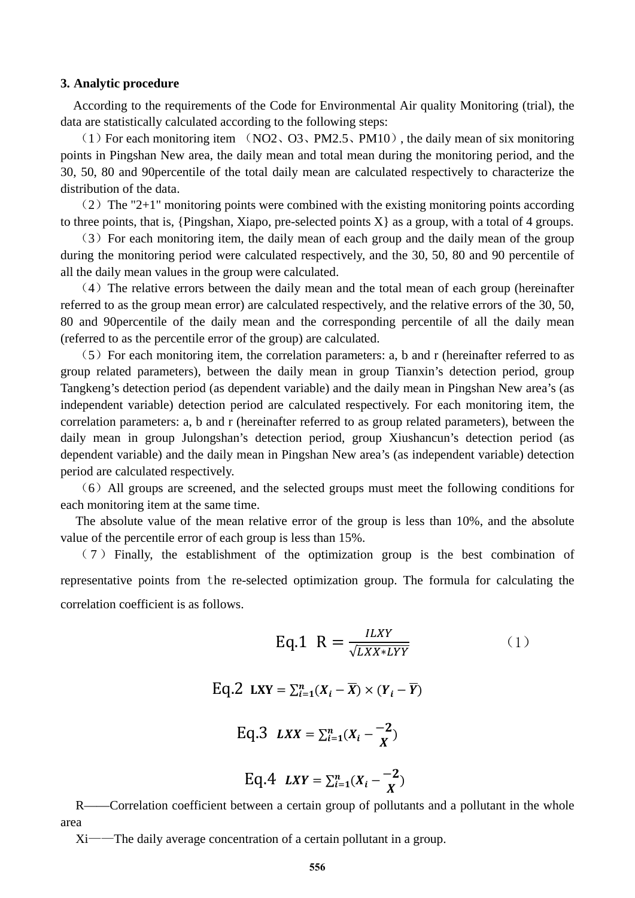#### **3. Analytic procedure**

According to the requirements of the Code for Environmental Air quality Monitoring (trial), the data are statistically calculated according to the following steps:

(1) For each monitoring item (NO2, O3, PM2.5, PM10), the daily mean of six monitoring points in Pingshan New area, the daily mean and total mean during the monitoring period, and the 30, 50, 80 and 90percentile of the total daily mean are calculated respectively to characterize the distribution of the data.

 $(2)$  The "2+1" monitoring points were combined with the existing monitoring points according to three points, that is, {Pingshan, Xiapo, pre-selected points  $X$ } as a group, with a total of 4 groups.

(3)For each monitoring item, the daily mean of each group and the daily mean of the group during the monitoring period were calculated respectively, and the 30, 50, 80 and 90 percentile of all the daily mean values in the group were calculated.

 $(4)$  The relative errors between the daily mean and the total mean of each group (hereinafter referred to as the group mean error) are calculated respectively, and the relative errors of the 30, 50, 80 and 90percentile of the daily mean and the corresponding percentile of all the daily mean (referred to as the percentile error of the group) are calculated.

 $(5)$  For each monitoring item, the correlation parameters: a, b and r (hereinafter referred to as group related parameters), between the daily mean in group Tianxin's detection period, group Tangkeng's detection period (as dependent variable) and the daily mean in Pingshan New area's (as independent variable) detection period are calculated respectively. For each monitoring item, the correlation parameters: a, b and r (hereinafter referred to as group related parameters), between the daily mean in group Julongshan's detection period, group Xiushancun's detection period (as dependent variable) and the daily mean in Pingshan New area's (as independent variable) detection period are calculated respectively.

(6)All groups are screened, and the selected groups must meet the following conditions for each monitoring item at the same time.

The absolute value of the mean relative error of the group is less than 10%, and the absolute value of the percentile error of each group is less than 15%.

( 7 ) Finally, the establishment of the optimization group is the best combination of representative points from the re-selected optimization group. The formula for calculating the correlation coefficient is as follows.

Eq.1 
$$
R = \frac{ILXY}{\sqrt{LXX*LYY}}
$$
 (1)  
\nEq.2  $LXY = \sum_{i=1}^{n} (X_i - \overline{X}) \times (Y_i - \overline{Y})$   
\nEq.3  $LXX = \sum_{i=1}^{n} (X_i - \frac{-2}{X})$   
\nEq.4  $LXY = \sum_{i=1}^{n} (X_i - \frac{-2}{X})$ 

R——Correlation coefficient between a certain group of pollutants and a pollutant in the whole area

Xi——The daily average concentration of a certain pollutant in a group.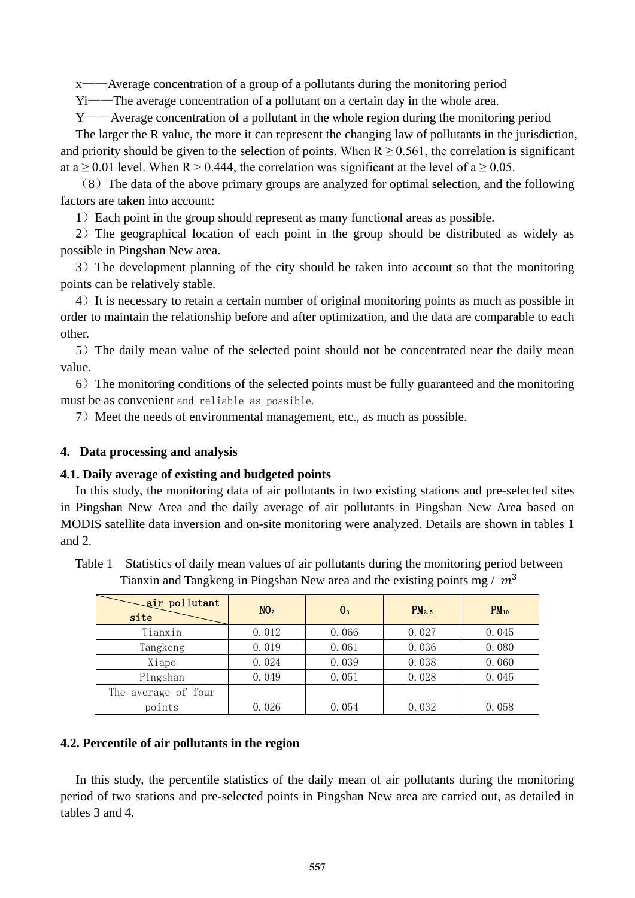x——Average concentration of a group of a pollutants during the monitoring period

Yi——The average concentration of a pollutant on a certain day in the whole area.

Y——Average concentration of a pollutant in the whole region during the monitoring period The larger the R value, the more it can represent the changing law of pollutants in the jurisdiction, and priority should be given to the selection of points. When  $R \ge 0.561$ , the correlation is significant at  $a \ge 0.01$  level. When  $R > 0.444$ , the correlation was significant at the level of  $a \ge 0.05$ .

(8)The data of the above primary groups are analyzed for optimal selection, and the following factors are taken into account:

1)Each point in the group should represent as many functional areas as possible.

2)The geographical location of each point in the group should be distributed as widely as possible in Pingshan New area.

3)The development planning of the city should be taken into account so that the monitoring points can be relatively stable.

4)It is necessary to retain a certain number of original monitoring points as much as possible in order to maintain the relationship before and after optimization, and the data are comparable to each other.

5) The daily mean value of the selected point should not be concentrated near the daily mean value.

6)The monitoring conditions of the selected points must be fully guaranteed and the monitoring must be as convenient and reliable as possible.

7) Meet the needs of environmental management, etc., as much as possible.

### **4. Data processing and analysis**

#### **4.1. Daily average of existing and budgeted points**

In this study, the monitoring data of air pollutants in two existing stations and pre-selected sites in Pingshan New Area and the daily average of air pollutants in Pingshan New Area based on MODIS satellite data inversion and on-site monitoring were analyzed. Details are shown in tables 1 and 2.

| Table 1 | Statistics of daily mean values of air pollutants during the monitoring period between |  |  |
|---------|----------------------------------------------------------------------------------------|--|--|
|         | Tianxin and Tangkeng in Pingshan New area and the existing points mg / $m3$            |  |  |

| air pollutant<br>site | NO <sub>2</sub> | $0_{3}$ | PM <sub>2.5</sub> | $PM_{10}$ |
|-----------------------|-----------------|---------|-------------------|-----------|
| Tianxin               | 0.012           | 0.066   | 0.027             | 0.045     |
| Tangkeng              | 0.019           | 0.061   | 0.036             | 0.080     |
| Xiapo                 | 0.024           | 0.039   | 0.038             | 0.060     |
| Pingshan              | 0.049           | 0.051   | 0.028             | 0.045     |
| The average of four   |                 |         |                   |           |
| points                | 0.026           | 0.054   | 0.032             | 0.058     |

#### **4.2. Percentile of air pollutants in the region**

In this study, the percentile statistics of the daily mean of air pollutants during the monitoring period of two stations and pre-selected points in Pingshan New area are carried out, as detailed in tables 3 and 4.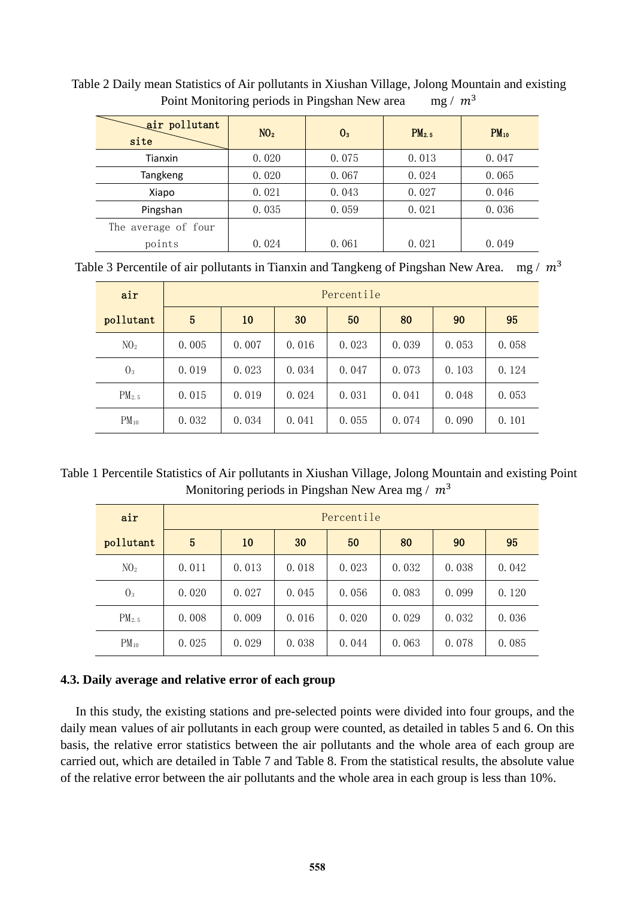| air pollutant<br>site | N0 <sub>2</sub> | 0 <sub>3</sub> | PM <sub>2.5</sub> | $PM_{10}$ |
|-----------------------|-----------------|----------------|-------------------|-----------|
| Tianxin               | 0.020           | 0.075          | 0.013             | 0.047     |
| Tangkeng              | 0.020           | 0.067          | 0.024             | 0.065     |
| Xiapo                 | 0.021           | 0.043          | 0.027             | 0.046     |
| Pingshan              | 0.035           | 0.059          | 0.021             | 0.036     |
| The average of four   |                 |                |                   |           |
| points                | 0.024           | 0.061          | 0.021             | 0.049     |

Table 2 Daily mean Statistics of Air pollutants in Xiushan Village, Jolong Mountain and existing Point Monitoring periods in Pingshan New area mg /  $m<sup>3</sup>$ 

Table 3 Percentile of air pollutants in Tianxin and Tangkeng of Pingshan New Area. mg /  $m<sup>3</sup>$ 

| air               | Percentile |       |       |       |       |       |       |  |
|-------------------|------------|-------|-------|-------|-------|-------|-------|--|
| pollutant         | 5          | 10    | 30    | 50    | 80    | 90    | 95    |  |
| $N_2$             | 0.005      | 0.007 | 0.016 | 0.023 | 0.039 | 0.053 | 0.058 |  |
| 0 <sub>3</sub>    | 0.019      | 0.023 | 0.034 | 0.047 | 0.073 | 0.103 | 0.124 |  |
| PM <sub>2.5</sub> | 0.015      | 0.019 | 0.024 | 0.031 | 0.041 | 0.048 | 0.053 |  |
| $PM_{10}$         | 0.032      | 0.034 | 0.041 | 0.055 | 0.074 | 0.090 | 0.101 |  |

Table 1 Percentile Statistics of Air pollutants in Xiushan Village, Jolong Mountain and existing Point Monitoring periods in Pingshan New Area mg /  $m<sup>3</sup>$ 

| air               | Percentile |       |       |       |       |       |       |
|-------------------|------------|-------|-------|-------|-------|-------|-------|
| pollutant         | 5          | 10    | 30    | 50    | 80    | 90    | 95    |
| $N_2$             | 0.011      | 0.013 | 0.018 | 0.023 | 0.032 | 0.038 | 0.042 |
| 0 <sub>3</sub>    | 0.020      | 0.027 | 0.045 | 0.056 | 0.083 | 0.099 | 0.120 |
| PM <sub>2.5</sub> | 0.008      | 0.009 | 0.016 | 0.020 | 0.029 | 0.032 | 0.036 |
| $PM_{10}$         | 0.025      | 0.029 | 0.038 | 0.044 | 0.063 | 0.078 | 0.085 |

## **4.3. Daily average and relative error of each group**

In this study, the existing stations and pre-selected points were divided into four groups, and the daily mean values of air pollutants in each group were counted, as detailed in tables 5 and 6. On this basis, the relative error statistics between the air pollutants and the whole area of each group are carried out, which are detailed in Table 7 and Table 8. From the statistical results, the absolute value of the relative error between the air pollutants and the whole area in each group is less than 10%.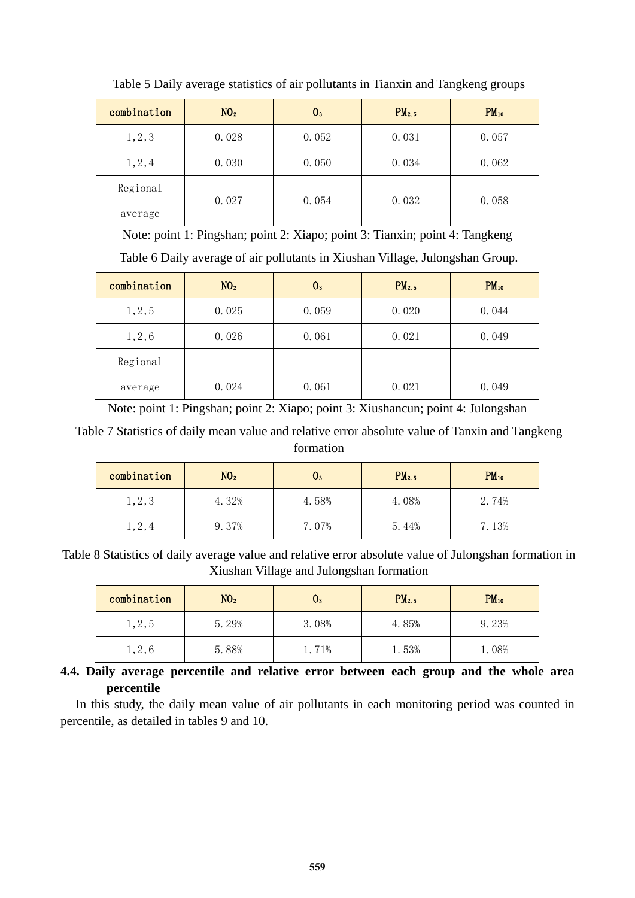| combination | NO <sub>2</sub> | $0_{3}$ | PM <sub>2.5</sub> | $PM_{10}$ |
|-------------|-----------------|---------|-------------------|-----------|
| 1, 2, 3     | 0.028           | 0.052   | 0.031             | 0.057     |
| 1,2,4       | 0.030           | 0.050   | 0.034             | 0.062     |
| Regional    | 0.027           | 0.054   | 0.032             | 0.058     |
| average     |                 |         |                   |           |

Table 5 Daily average statistics of air pollutants in Tianxin and Tangkeng groups

Note: point 1: Pingshan; point 2: Xiapo; point 3: Tianxin; point 4: Tangkeng

Table 6 Daily average of air pollutants in Xiushan Village, Julongshan Group.

| combination | NO <sub>2</sub> | $0_{3}$ | PM <sub>2.5</sub> | $PM_{10}$ |
|-------------|-----------------|---------|-------------------|-----------|
| 1,2,5       | 0.025           | 0.059   | 0.020             | 0.044     |
| 1,2,6       | 0.026           | 0.061   | 0.021             | 0.049     |
| Regional    |                 |         |                   |           |
| average     | 0.024           | 0.061   | 0.021             | 0.049     |

Note: point 1: Pingshan; point 2: Xiapo; point 3: Xiushancun; point 4: Julongshan

Table 7 Statistics of daily mean value and relative error absolute value of Tanxin and Tangkeng formation

| combination | NO <sub>2</sub> | U3    | PM <sub>2.5</sub> | $PM_{10}$ |
|-------------|-----------------|-------|-------------------|-----------|
| 1, 2, 3     | 4.32%           | 4.58% | 4.08%             | 2.74%     |
| 1,2,4       | 9.37%           | 7.07% | 5.44%             | 7.13%     |

Table 8 Statistics of daily average value and relative error absolute value of Julongshan formation in Xiushan Village and Julongshan formation

| combination | NO <sub>2</sub> | $\mathsf{U}_3$ | PM <sub>2.5</sub> | $PM_{10}$ |
|-------------|-----------------|----------------|-------------------|-----------|
| 1,2,5       | 5.29%           | 3.08%          | 4.85%             | 9.23%     |
| 1,2,6       | 5.88%           | 1.71%          | 1.53%             | l. 08%    |

## **4.4. Daily average percentile and relative error between each group and the whole area percentile**

In this study, the daily mean value of air pollutants in each monitoring period was counted in percentile, as detailed in tables 9 and 10.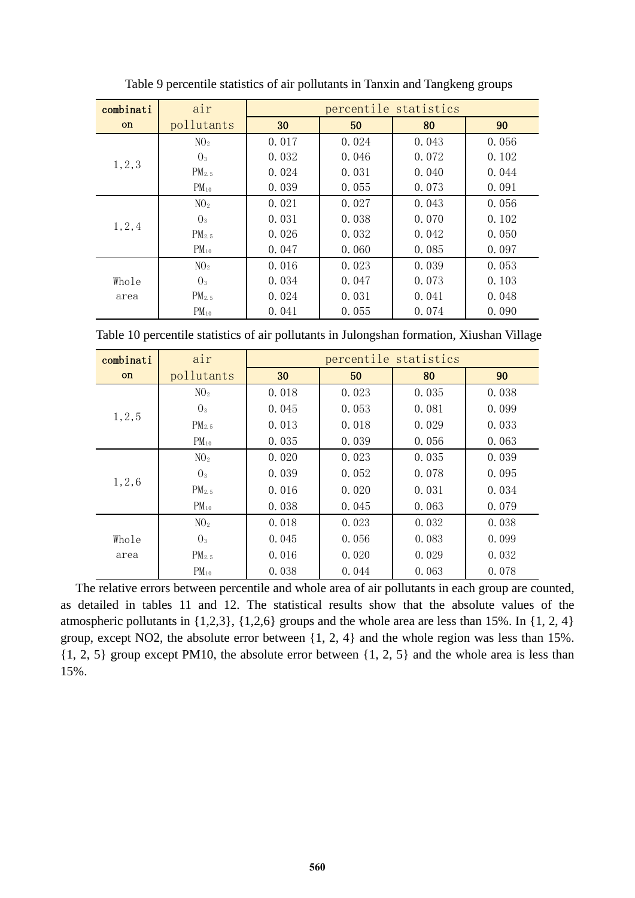| combinati     | air               |       | percentile statistics |       |       |  |  |  |
|---------------|-------------------|-------|-----------------------|-------|-------|--|--|--|
| <sub>on</sub> | pollutants        | 30    | 50                    | 80    | 90    |  |  |  |
|               | NO <sub>2</sub>   | 0.017 | 0.024                 | 0.043 | 0.056 |  |  |  |
| 1, 2, 3       | 0 <sub>3</sub>    | 0.032 | 0.046                 | 0.072 | 0.102 |  |  |  |
|               | PM <sub>2.5</sub> | 0.024 | 0.031                 | 0.040 | 0.044 |  |  |  |
|               | $PM_{10}$         | 0.039 | 0.055                 | 0.073 | 0.091 |  |  |  |
|               | $N_2$             | 0.021 | 0.027                 | 0.043 | 0.056 |  |  |  |
| 1, 2, 4       | 0 <sub>3</sub>    | 0.031 | 0.038                 | 0.070 | 0.102 |  |  |  |
|               | PM <sub>2.5</sub> | 0.026 | 0.032                 | 0.042 | 0.050 |  |  |  |
|               | $PM_{10}$         | 0.047 | 0.060                 | 0.085 | 0.097 |  |  |  |
|               | $N_2$             | 0.016 | 0.023                 | 0.039 | 0.053 |  |  |  |
| Whole<br>area | 0 <sub>3</sub>    | 0.034 | 0.047                 | 0.073 | 0.103 |  |  |  |
|               | PM <sub>2.5</sub> | 0.024 | 0.031                 | 0.041 | 0.048 |  |  |  |
|               | $PM_{10}$         | 0.041 | 0.055                 | 0.074 | 0.090 |  |  |  |

Table 9 percentile statistics of air pollutants in Tanxin and Tangkeng groups

Table 10 percentile statistics of air pollutants in Julongshan formation, Xiushan Village

| combinati | air               | percentile statistics |       |       |       |  |  |
|-----------|-------------------|-----------------------|-------|-------|-------|--|--|
| on        | pollutants        | 30                    | 50    | 80    | 90    |  |  |
|           | $N_2$             | 0.018                 | 0.023 | 0.035 | 0.038 |  |  |
|           | 0 <sub>3</sub>    | 0.045                 | 0.053 | 0.081 | 0.099 |  |  |
| 1, 2, 5   | PM <sub>2.5</sub> | 0.013                 | 0.018 | 0.029 | 0.033 |  |  |
|           | $PM_{10}$         | 0.035                 | 0.039 | 0.056 | 0.063 |  |  |
|           | $N_2$             | 0.020                 | 0.023 | 0.035 | 0.039 |  |  |
|           | 0 <sub>3</sub>    | 0.039                 | 0.052 | 0.078 | 0.095 |  |  |
| 1,2,6     | PM <sub>2.5</sub> | 0.016                 | 0.020 | 0.031 | 0.034 |  |  |
|           | $PM_{10}$         | 0.038                 | 0.045 | 0.063 | 0.079 |  |  |
|           | $N_2$             | 0.018                 | 0.023 | 0.032 | 0.038 |  |  |
| Whole     | 0 <sub>3</sub>    | 0.045                 | 0.056 | 0.083 | 0.099 |  |  |
| area      | PM <sub>2.5</sub> | 0.016                 | 0.020 | 0.029 | 0.032 |  |  |
|           | $PM_{10}$         | 0.038                 | 0.044 | 0.063 | 0.078 |  |  |

The relative errors between percentile and whole area of air pollutants in each group are counted, as detailed in tables 11 and 12. The statistical results show that the absolute values of the atmospheric pollutants in {1,2,3}, {1,2,6} groups and the whole area are less than 15%. In {1, 2, 4} group, except NO2, the absolute error between {1, 2, 4} and the whole region was less than 15%. {1, 2, 5} group except PM10, the absolute error between {1, 2, 5} and the whole area is less than 15%.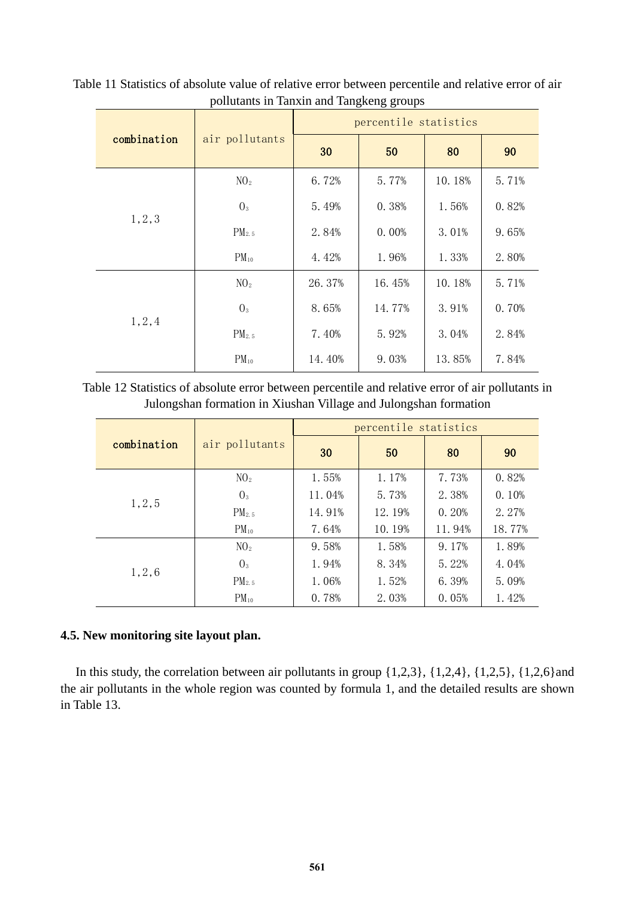|             |                   | <u>-</u><br>percentile statistics |        |        |       |  |
|-------------|-------------------|-----------------------------------|--------|--------|-------|--|
| combination | air pollutants    | 30                                | 50     | 80     | 90    |  |
|             | NO <sub>2</sub>   | 6.72%                             | 5.77%  | 10.18% | 5.71% |  |
|             | 0 <sub>3</sub>    | 5.49%                             | 0.38%  | 1.56%  | 0.82% |  |
| 1, 2, 3     | PM <sub>2.5</sub> | 2.84%                             | 0.00%  | 3.01%  | 9.65% |  |
|             | $PM_{10}$         | 4.42%                             | 1.96%  | 1.33%  | 2.80% |  |
|             | NO <sub>2</sub>   | 26.37%                            | 16.45% | 10.18% | 5.71% |  |
|             | 0 <sub>3</sub>    | 8.65%                             | 14.77% | 3.91%  | 0.70% |  |
| 1,2,4       | PM <sub>2.5</sub> | 7.40%                             | 5.92%  | 3.04%  | 2.84% |  |
|             | $PM_{10}$         | 14.40%                            | 9.03%  | 13.85% | 7.84% |  |

Table 11 Statistics of absolute value of relative error between percentile and relative error of air pollutants in Tanxin and Tangkeng groups

Table 12 Statistics of absolute error between percentile and relative error of air pollutants in Julongshan formation in Xiushan Village and Julongshan formation

|             | air pollutants  | percentile statistics |        |        |        |
|-------------|-----------------|-----------------------|--------|--------|--------|
| combination |                 | 30                    | 50     | 80     | 90     |
| 1, 2, 5     | NO <sub>2</sub> | 1.55%                 | 1.17%  | 7.73%  | 0.82%  |
|             | 0 <sub>3</sub>  | 11.04%                | 5.73%  | 2.38%  | 0.10%  |
|             | $PM_{2.5}$      | 14.91%                | 12.19% | 0.20%  | 2.27%  |
|             | $PM_{10}$       | 7.64%                 | 10.19% | 11.94% | 18.77% |
| 1,2,6       | NO <sub>2</sub> | 9.58%                 | 1.58%  | 9.17%  | 1.89%  |
|             | 0 <sub>3</sub>  | 1.94%                 | 8.34%  | 5.22%  | 4.04%  |
|             | $PM_{2.5}$      | 1.06%                 | 1.52%  | 6.39%  | 5.09%  |
|             | $PM_{10}$       | 0.78%                 | 2.03%  | 0.05%  | 1.42%  |

## **4.5. New monitoring site layout plan.**

In this study, the correlation between air pollutants in group  $\{1,2,3\}$ ,  $\{1,2,4\}$ ,  $\{1,2,5\}$ ,  $\{1,2,6\}$ and the air pollutants in the whole region was counted by formula 1, and the detailed results are shown in Table 13.